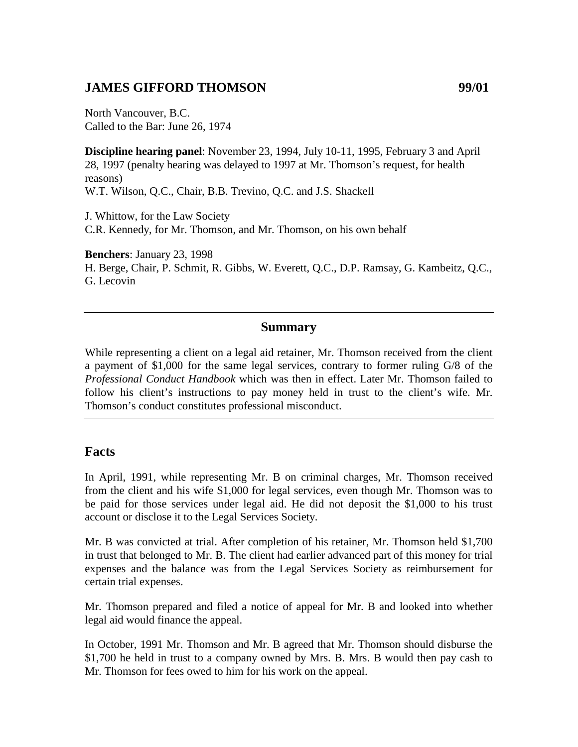# **JAMES GIFFORD THOMSON 99/01**

North Vancouver, B.C. Called to the Bar: June 26, 1974

**Discipline hearing panel**: November 23, 1994, July 10-11, 1995, February 3 and April 28, 1997 (penalty hearing was delayed to 1997 at Mr. Thomson's request, for health reasons) W.T. Wilson, Q.C., Chair, B.B. Trevino, Q.C. and J.S. Shackell

J. Whittow, for the Law Society C.R. Kennedy, for Mr. Thomson, and Mr. Thomson, on his own behalf

**Benchers**: January 23, 1998 H. Berge, Chair, P. Schmit, R. Gibbs, W. Everett, Q.C., D.P. Ramsay, G. Kambeitz, Q.C., G. Lecovin

#### **Summary**

While representing a client on a legal aid retainer, Mr. Thomson received from the client a payment of \$1,000 for the same legal services, contrary to former ruling G/8 of the *Professional Conduct Handbook* which was then in effect. Later Mr. Thomson failed to follow his client's instructions to pay money held in trust to the client's wife. Mr. Thomson's conduct constitutes professional misconduct.

#### **Facts**

In April, 1991, while representing Mr. B on criminal charges, Mr. Thomson received from the client and his wife \$1,000 for legal services, even though Mr. Thomson was to be paid for those services under legal aid. He did not deposit the \$1,000 to his trust account or disclose it to the Legal Services Society.

Mr. B was convicted at trial. After completion of his retainer, Mr. Thomson held \$1,700 in trust that belonged to Mr. B. The client had earlier advanced part of this money for trial expenses and the balance was from the Legal Services Society as reimbursement for certain trial expenses.

Mr. Thomson prepared and filed a notice of appeal for Mr. B and looked into whether legal aid would finance the appeal.

In October, 1991 Mr. Thomson and Mr. B agreed that Mr. Thomson should disburse the \$1,700 he held in trust to a company owned by Mrs. B. Mrs. B would then pay cash to Mr. Thomson for fees owed to him for his work on the appeal.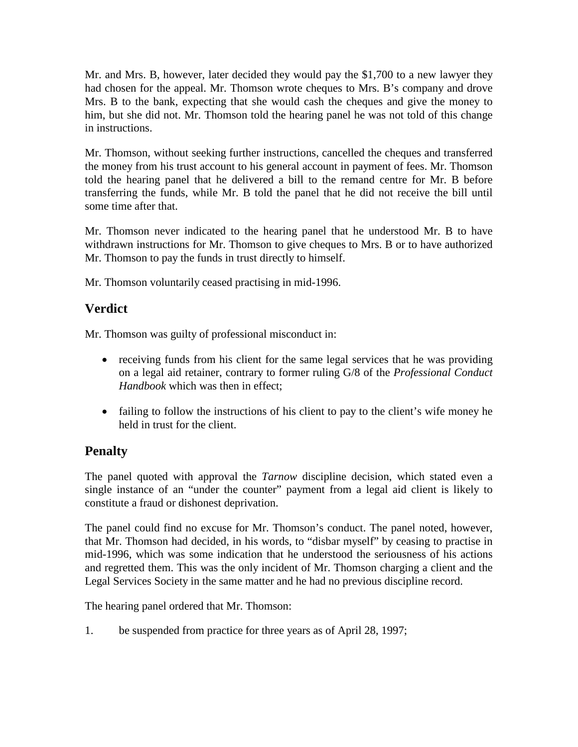Mr. and Mrs. B, however, later decided they would pay the \$1,700 to a new lawyer they had chosen for the appeal. Mr. Thomson wrote cheques to Mrs. B's company and drove Mrs. B to the bank, expecting that she would cash the cheques and give the money to him, but she did not. Mr. Thomson told the hearing panel he was not told of this change in instructions.

Mr. Thomson, without seeking further instructions, cancelled the cheques and transferred the money from his trust account to his general account in payment of fees. Mr. Thomson told the hearing panel that he delivered a bill to the remand centre for Mr. B before transferring the funds, while Mr. B told the panel that he did not receive the bill until some time after that.

Mr. Thomson never indicated to the hearing panel that he understood Mr. B to have withdrawn instructions for Mr. Thomson to give cheques to Mrs. B or to have authorized Mr. Thomson to pay the funds in trust directly to himself.

Mr. Thomson voluntarily ceased practising in mid-1996.

## **Verdict**

Mr. Thomson was guilty of professional misconduct in:

- receiving funds from his client for the same legal services that he was providing on a legal aid retainer, contrary to former ruling G/8 of the *Professional Conduct Handbook* which was then in effect;
- failing to follow the instructions of his client to pay to the client's wife money he held in trust for the client.

### **Penalty**

The panel quoted with approval the *Tarnow* discipline decision, which stated even a single instance of an "under the counter" payment from a legal aid client is likely to constitute a fraud or dishonest deprivation.

The panel could find no excuse for Mr. Thomson's conduct. The panel noted, however, that Mr. Thomson had decided, in his words, to "disbar myself" by ceasing to practise in mid-1996, which was some indication that he understood the seriousness of his actions and regretted them. This was the only incident of Mr. Thomson charging a client and the Legal Services Society in the same matter and he had no previous discipline record.

The hearing panel ordered that Mr. Thomson:

1. be suspended from practice for three years as of April 28, 1997;